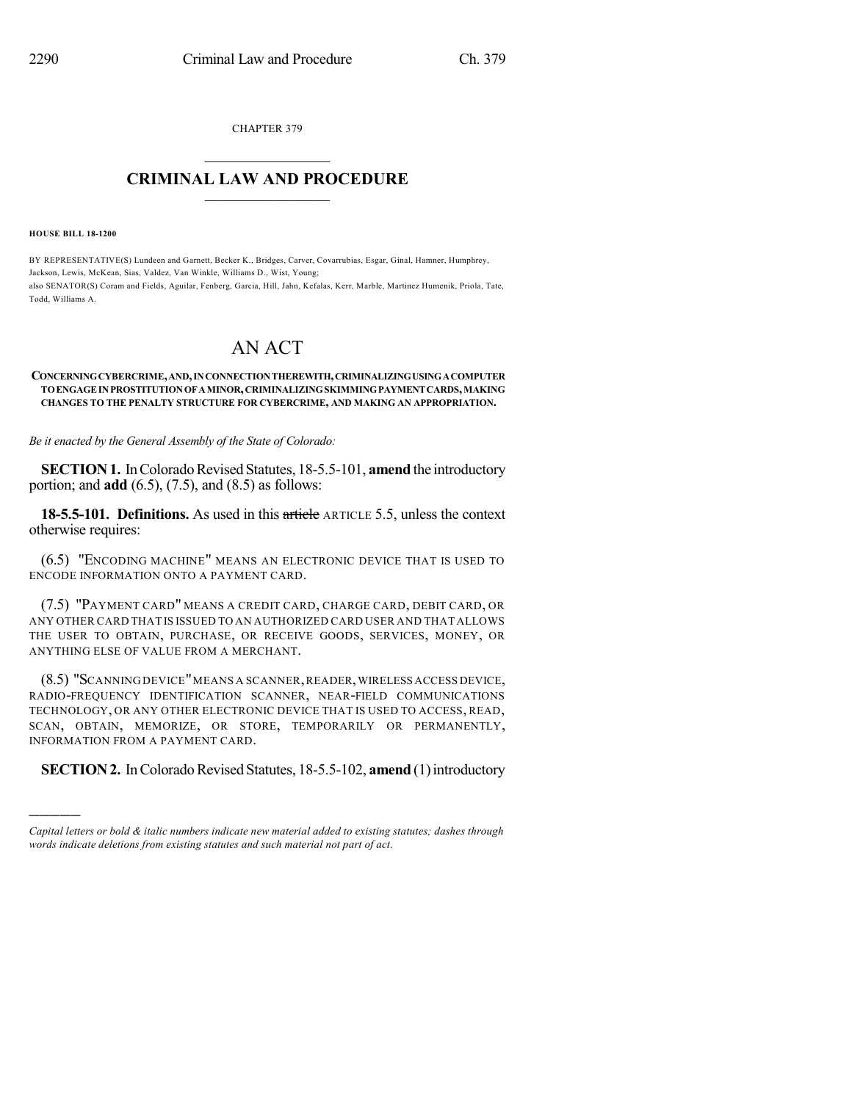CHAPTER 379  $\mathcal{L}_\text{max}$  . The set of the set of the set of the set of the set of the set of the set of the set of the set of the set of the set of the set of the set of the set of the set of the set of the set of the set of the set

## **CRIMINAL LAW AND PROCEDURE**  $\frac{1}{2}$  ,  $\frac{1}{2}$  ,  $\frac{1}{2}$  ,  $\frac{1}{2}$  ,  $\frac{1}{2}$  ,  $\frac{1}{2}$  ,  $\frac{1}{2}$

**HOUSE BILL 18-1200**

)))))

BY REPRESENTATIVE(S) Lundeen and Garnett, Becker K., Bridges, Carver, Covarrubias, Esgar, Ginal, Hamner, Humphrey, Jackson, Lewis, McKean, Sias, Valdez, Van Winkle, Williams D., Wist, Young; also SENATOR(S) Coram and Fields, Aguilar, Fenberg, Garcia, Hill, Jahn, Kefalas, Kerr, Marble, Martinez Humenik, Priola, Tate, Todd, Williams A.

## AN ACT

## **CONCERNINGCYBERCRIME,AND,INCONNECTIONTHEREWITH,CRIMINALIZINGUSINGACOMPUTER TOENGAGEINPROSTITUTIONOFAMINOR,CRIMINALIZINGSKIMMINGPAYMENTCARDS,MAKING CHANGES TO THE PENALTY STRUCTURE FOR CYBERCRIME, AND MAKING AN APPROPRIATION.**

*Be it enacted by the General Assembly of the State of Colorado:*

**SECTION 1.** In Colorado Revised Statutes, 18-5.5-101, **amend** the introductory portion; and **add** (6.5), (7.5), and (8.5) as follows:

**18-5.5-101. Definitions.** As used in this article ARTICLE 5.5, unless the context otherwise requires:

(6.5) "ENCODING MACHINE" MEANS AN ELECTRONIC DEVICE THAT IS USED TO ENCODE INFORMATION ONTO A PAYMENT CARD.

(7.5) "PAYMENT CARD" MEANS A CREDIT CARD, CHARGE CARD, DEBIT CARD, OR ANY OTHER CARD THAT IS ISSUED TO AN AUTHORIZED CARD USER AND THAT ALLOWS THE USER TO OBTAIN, PURCHASE, OR RECEIVE GOODS, SERVICES, MONEY, OR ANYTHING ELSE OF VALUE FROM A MERCHANT.

(8.5) "SCANNING DEVICE"MEANS A SCANNER,READER,WIRELESS ACCESS DEVICE, RADIO-FREQUENCY IDENTIFICATION SCANNER, NEAR-FIELD COMMUNICATIONS TECHNOLOGY, OR ANY OTHER ELECTRONIC DEVICE THAT IS USED TO ACCESS, READ, SCAN, OBTAIN, MEMORIZE, OR STORE, TEMPORARILY OR PERMANENTLY, INFORMATION FROM A PAYMENT CARD.

**SECTION 2.** In Colorado Revised Statutes, 18-5.5-102, **amend** (1) introductory

*Capital letters or bold & italic numbers indicate new material added to existing statutes; dashes through words indicate deletions from existing statutes and such material not part of act.*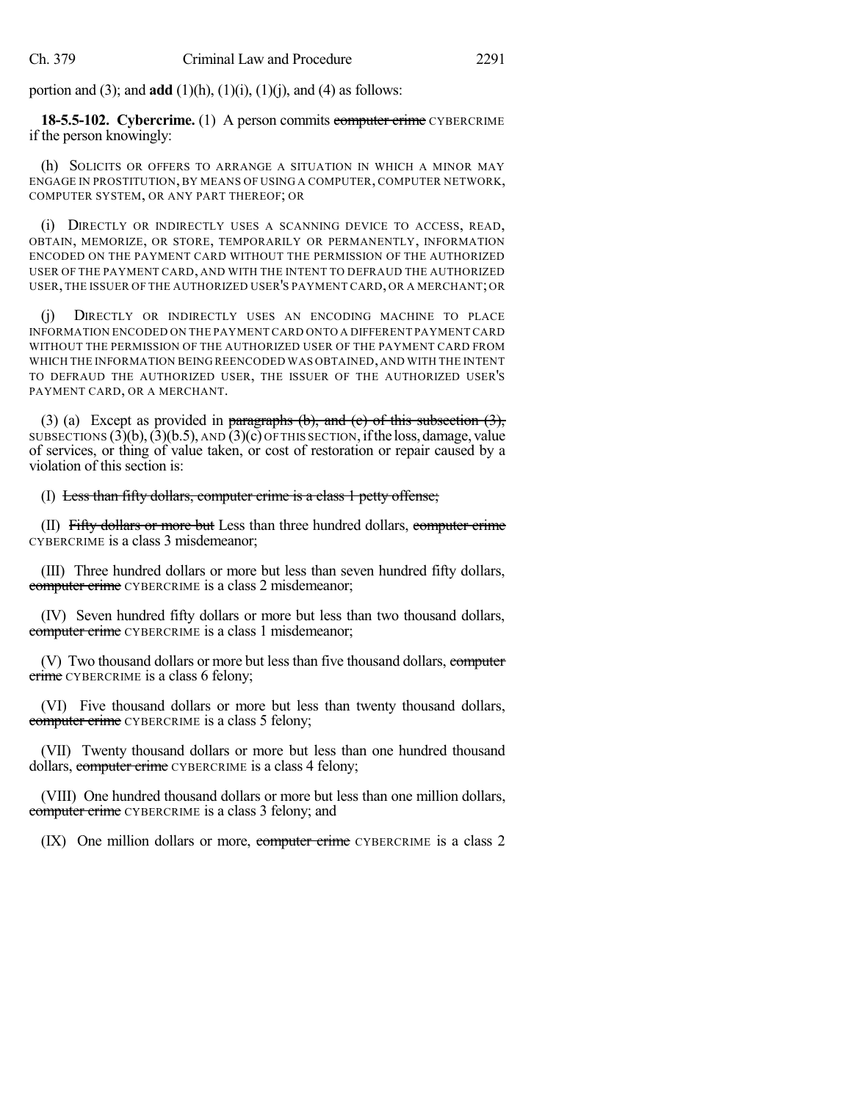portion and (3); and **add** (1)(h), (1)(i), (1)(j), and (4) as follows:

**18-5.5-102.** Cybercrime. (1) A person commits computer crime CYBERCRIME if the person knowingly:

(h) SOLICITS OR OFFERS TO ARRANGE A SITUATION IN WHICH A MINOR MAY ENGAGE IN PROSTITUTION, BY MEANS OF USING A COMPUTER, COMPUTER NETWORK, COMPUTER SYSTEM, OR ANY PART THEREOF; OR

(i) DIRECTLY OR INDIRECTLY USES A SCANNING DEVICE TO ACCESS, READ, OBTAIN, MEMORIZE, OR STORE, TEMPORARILY OR PERMANENTLY, INFORMATION ENCODED ON THE PAYMENT CARD WITHOUT THE PERMISSION OF THE AUTHORIZED USER OF THE PAYMENT CARD, AND WITH THE INTENT TO DEFRAUD THE AUTHORIZED USER, THE ISSUER OF THE AUTHORIZED USER'S PAYMENT CARD, OR A MERCHANT; OR

(j) DIRECTLY OR INDIRECTLY USES AN ENCODING MACHINE TO PLACE INFORMATION ENCODED ON THE PAYMENT CARD ONTO A DIFFERENT PAYMENT CARD WITHOUT THE PERMISSION OF THE AUTHORIZED USER OF THE PAYMENT CARD FROM WHICH THE INFORMATION BEING REENCODED WAS OBTAINED,AND WITH THE INTENT TO DEFRAUD THE AUTHORIZED USER, THE ISSUER OF THE AUTHORIZED USER'S PAYMENT CARD, OR A MERCHANT.

(3) (a) Except as provided in paragraphs (b), and (c) of this subsection  $(3)$ , SUBSECTIONS  $(3)(b)$ ,  $(3)(b.5)$ , AND  $(3)(c)$  OF THIS SECTION, if the loss, damage, value of services, or thing of value taken, or cost of restoration or repair caused by a violation of this section is:

(I) Less than fifty dollars, computer crime is a class 1 petty offense;

(II) Fifty dollars or more but Less than three hundred dollars, computer crime CYBERCRIME is a class 3 misdemeanor;

(III) Three hundred dollars or more but less than seven hundred fifty dollars, computer crime CYBERCRIME is a class 2 misdemeanor;

(IV) Seven hundred fifty dollars or more but less than two thousand dollars, computer crime CYBERCRIME is a class 1 misdemeanor;

(V) Two thousand dollars or more but less than five thousand dollars, computer crime CYBERCRIME is a class 6 felony;

(VI) Five thousand dollars or more but less than twenty thousand dollars, computer crime CYBERCRIME is a class 5 felony;

(VII) Twenty thousand dollars or more but less than one hundred thousand dollars, computer crime CYBERCRIME is a class 4 felony;

(VIII) One hundred thousand dollars or more but less than one million dollars, computer crime CYBERCRIME is a class 3 felony; and

(IX) One million dollars or more, computer crime CYBERCRIME is a class 2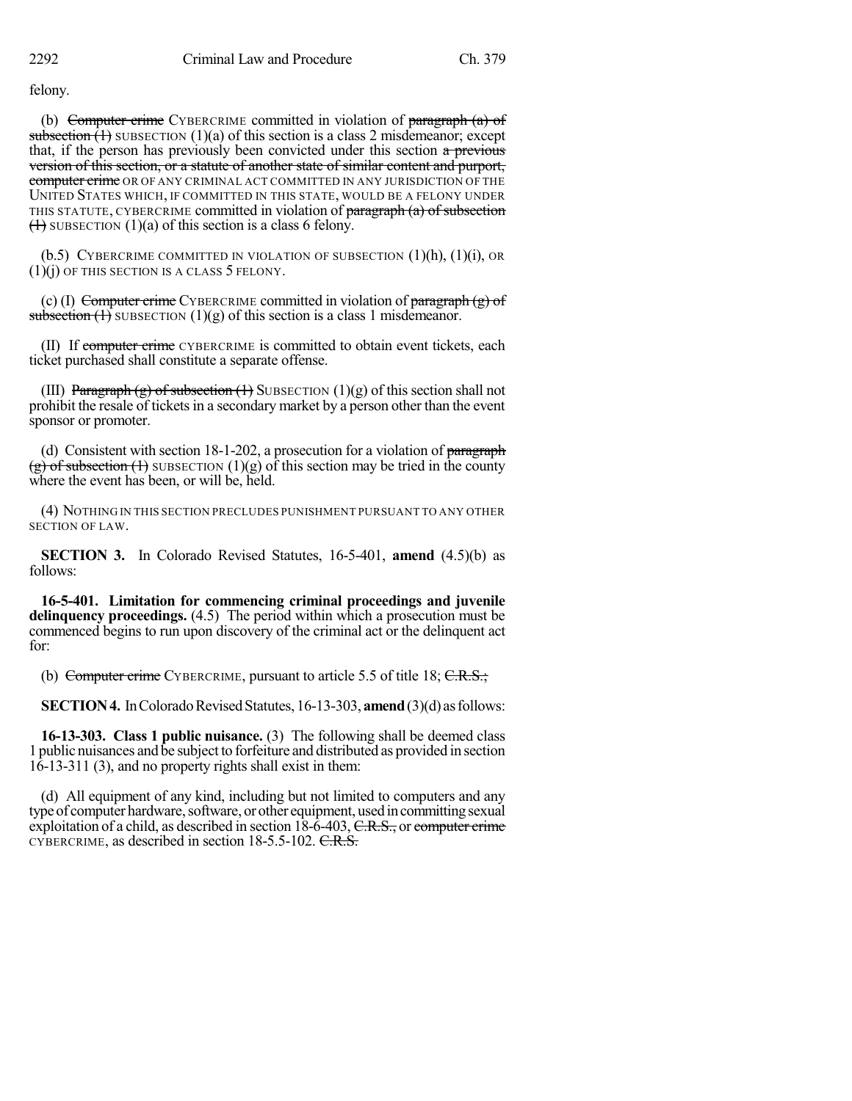felony.

(b) Computer crime CYBERCRIME committed in violation of paragraph  $(a)$  of subsection  $(1)$  SUBSECTION  $(1)(a)$  of this section is a class 2 misdemeanor; except that, if the person has previously been convicted under this section a previous version of this section, or a statute of another state of similar content and purport, computer crime OR OF ANY CRIMINAL ACT COMMITTED IN ANY JURISDICTION OF THE UNITED STATES WHICH, IF COMMITTED IN THIS STATE, WOULD BE A FELONY UNDER THIS STATUTE, CYBERCRIME committed in violation of paragraph (a) of subsection  $(1)$  SUBSECTION  $(1)(a)$  of this section is a class 6 felony.

(b.5) CYBERCRIME COMMITTED IN VIOLATION OF SUBSECTION  $(1)(h)$ ,  $(1)(i)$ , OR  $(1)(i)$  OF THIS SECTION IS A CLASS 5 FELONY.

(c) (I) Computer crime CYBERCRIME committed in violation of paragraph  $(g)$  of subsection  $(1)$  SUBSECTION  $(1)(g)$  of this section is a class 1 misdemeanor.

(II) If computer crime CYBERCRIME is committed to obtain event tickets, each ticket purchased shall constitute a separate offense.

(III) Paragraph (g) of subsection  $(1)$  SUBSECTION  $(1)(g)$  of this section shall not prohibit the resale of tickets in a secondary market by a person other than the event sponsor or promoter.

(d) Consistent with section  $18-1-202$ , a prosecution for a violation of paragraph  $(g)$  of subsection (1) SUBSECTION (1)(g) of this section may be tried in the county where the event has been, or will be, held.

(4) NOTHING IN THIS SECTION PRECLUDES PUNISHMENT PURSUANT TO ANY OTHER SECTION OF LAW.

**SECTION 3.** In Colorado Revised Statutes, 16-5-401, **amend** (4.5)(b) as follows:

**16-5-401. Limitation for commencing criminal proceedings and juvenile delinquency proceedings.** (4.5) The period within which a prosecution must be commenced begins to run upon discovery of the criminal act or the delinquent act for:

(b) Computer crime CYBERCRIME, pursuant to article 5.5 of title 18;  $C.R.S.;$ 

**SECTION 4.** In Colorado Revised Statutes, 16-13-303, **amend** (3)(d) as follows:

**16-13-303. Class 1 public nuisance.** (3) The following shall be deemed class 1 public nuisances and be subject to forfeiture and distributed as provided in section  $16-13-311$  (3), and no property rights shall exist in them:

(d) All equipment of any kind, including but not limited to computers and any type of computer hardware, software, or other equipment, used in committing sexual exploitation of a child, as described in section  $18-6-403$ , C.R.S., or computer crime CYBERCRIME, as described in section 18-5.5-102. C.R.S.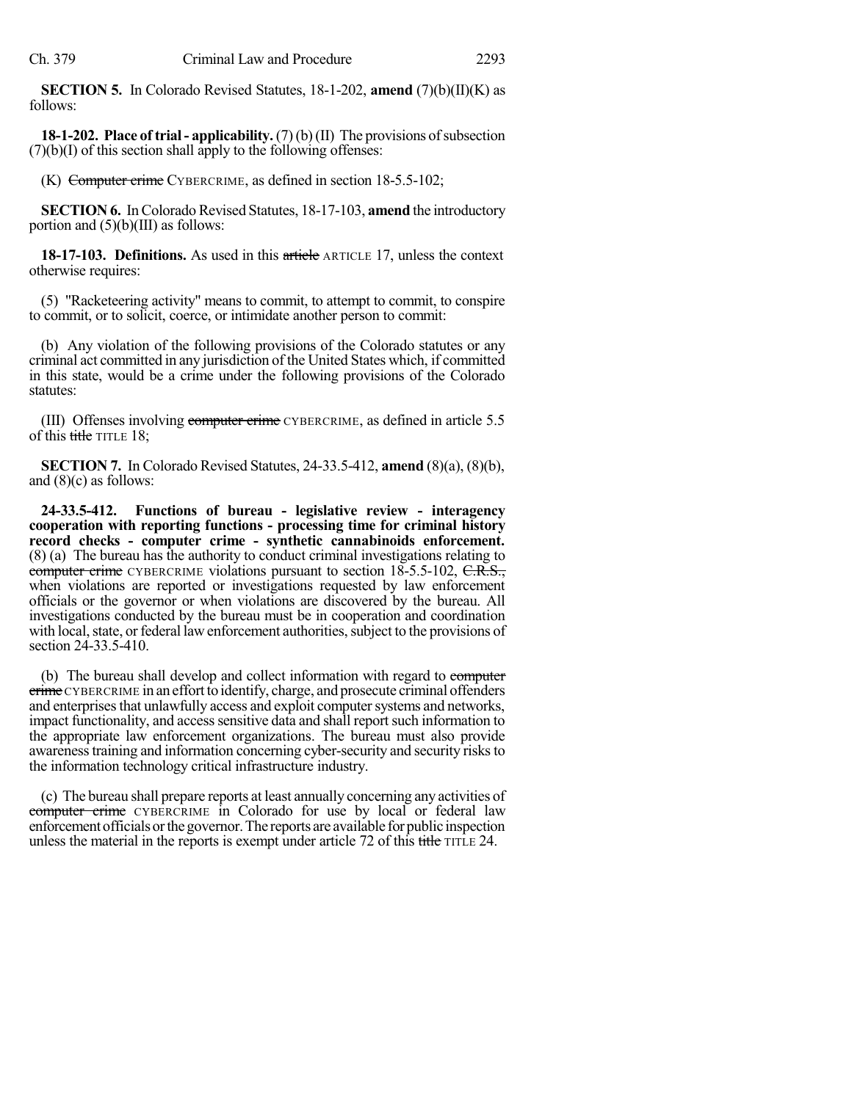**SECTION 5.** In Colorado Revised Statutes, 18-1-202, **amend** (7)(b)(II)(K) as follows:

**18-1-202. Place of trial- applicability.** (7)(b)(II) The provisions ofsubsection  $(7)(b)(I)$  of this section shall apply to the following offenses:

(K) Computer crime CYBERCRIME, as defined in section 18-5.5-102;

**SECTION 6.** In Colorado Revised Statutes, 18-17-103, **amend** the introductory portion and  $(5)(b)(III)$  as follows:

**18-17-103. Definitions.** As used in this article ARTICLE 17, unless the context otherwise requires:

(5) "Racketeering activity" means to commit, to attempt to commit, to conspire to commit, or to solicit, coerce, or intimidate another person to commit:

(b) Any violation of the following provisions of the Colorado statutes or any criminal act committed in any jurisdiction of the United States which, if committed in this state, would be a crime under the following provisions of the Colorado statutes:

(III) Offenses involving computer crime CYBERCRIME, as defined in article 5.5 of this  $t$  the TITLE 18;

**SECTION 7.** In Colorado Revised Statutes, 24-33.5-412, **amend** (8)(a), (8)(b), and (8)(c) as follows:

**24-33.5-412. Functions of bureau - legislative review - interagency cooperation with reporting functions - processing time for criminal history record checks - computer crime - synthetic cannabinoids enforcement.** (8) (a) The bureau has the authority to conduct criminal investigations relating to computer crime CYBERCRIME violations pursuant to section 18-5.5-102, C.R.S., when violations are reported or investigations requested by law enforcement officials or the governor or when violations are discovered by the bureau. All investigations conducted by the bureau must be in cooperation and coordination with local, state, or federal law enforcement authorities, subject to the provisions of section 24-33.5-410.

(b) The bureau shall develop and collect information with regard to computer crime CYBERCRIME in an effort to identify, charge, and prosecute criminal offenders and enterprises that unlawfully access and exploit computer systems and networks, impact functionality, and access sensitive data and shall report such information to the appropriate law enforcement organizations. The bureau must also provide awarenesstraining and information concerning cyber-security and security risksto the information technology critical infrastructure industry.

(c) The bureau shall prepare reports at least annually concerning any activities of computer crime CYBERCRIME in Colorado for use by local or federal law enforcement officials or the governor. The reports are available for public inspection unless the material in the reports is exempt under article 72 of this title TITLE 24.